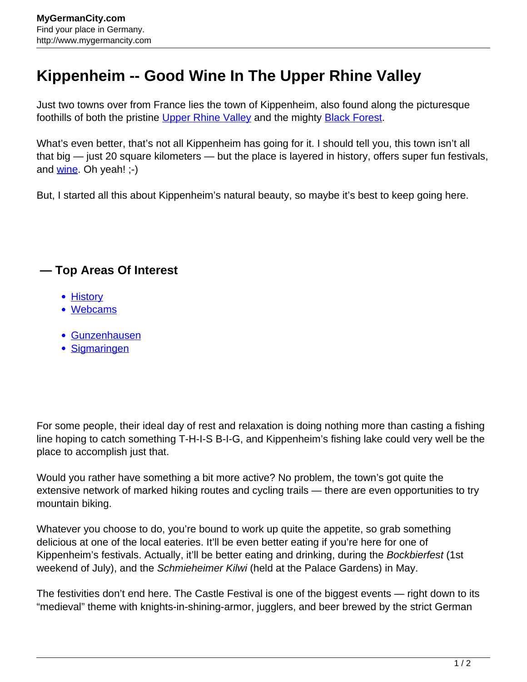## **Kippenheim -- Good Wine In The Upper Rhine Valley**

Just two towns over from France lies the town of Kippenheim, also found along the picturesque foothills of both the pristine [Upper Rhine Valley](http://www.mygermancity.com/upper-rhine-valley) and the mighty [Black Forest](http://www.mygermancity.com/black-forest).

What's even better, that's not all Kippenheim has going for it. I should tell you, this town isn't all that big — just 20 square kilometers — but the place is layered in history, offers super fun festivals, and [wine.](http://www.mygermancity.com/german-wine) Oh yeah! ;-)

But, I started all this about Kippenheim's natural beauty, so maybe it's best to keep going here.

## **— Top Areas Of Interest**

- **[History](http://www.mygermancity.com/leipzig-history)**
- [Webcams](http://www.mygermancity.com/neustadt-holstein-webcams)
- [Gunzenhausen](http://www.mygermancity.com/gunzenhausen)
- [Sigmaringen](http://www.mygermancity.com/sigmaringen)

For some people, their ideal day of rest and relaxation is doing nothing more than casting a fishing line hoping to catch something T-H-I-S B-I-G, and Kippenheim's fishing lake could very well be the place to accomplish just that.

Would you rather have something a bit more active? No problem, the town's got quite the extensive network of marked hiking routes and cycling trails — there are even opportunities to try mountain biking.

Whatever you choose to do, you're bound to work up quite the appetite, so grab something delicious at one of the local eateries. It'll be even better eating if you're here for one of Kippenheim's festivals. Actually, it'll be better eating and drinking, during the Bockbierfest (1st weekend of July), and the Schmieheimer Kilwi (held at the Palace Gardens) in May.

The festivities don't end here. The Castle Festival is one of the biggest events — right down to its "medieval" theme with knights-in-shining-armor, jugglers, and beer brewed by the strict German